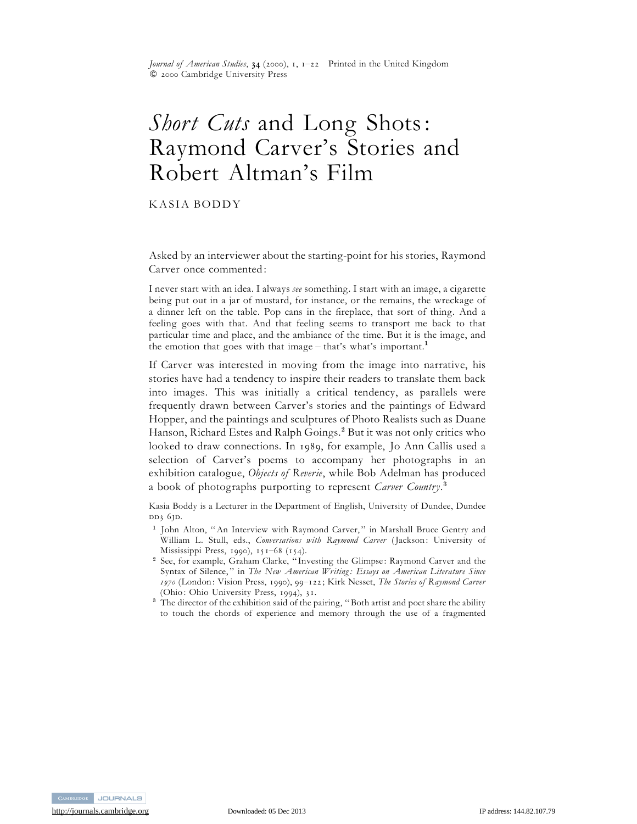Journal of American Studies, 34 (2000), 1, 1-22 Printed in the United Kingdom  $©$  2000 Cambridge University Press

# *Short Cuts* and Long Shots: Raymond Carver's Stories and Robert Altman's Film

KASIA BODDY

Asked by an interviewer about the starting-point for his stories, Raymond Carver once commented:

I never start with an idea. I always *see* something. I start with an image, a cigarette being put out in a jar of mustard, for instance, or the remains, the wreckage of a dinner left on the table. Pop cans in the fireplace, that sort of thing. And a feeling goes with that. And that feeling seems to transport me back to that particular time and place, and the ambiance of the time. But it is the image, and the emotion that goes with that image – that's what's important.<sup>1</sup>

If Carver was interested in moving from the image into narrative, his stories have had a tendency to inspire their readers to translate them back into images. This was initially a critical tendency, as parallels were frequently drawn between Carver's stories and the paintings of Edward Hopper, and the paintings and sculptures of Photo Realists such as Duane Hanson, Richard Estes and Ralph Goings.<sup>2</sup> But it was not only critics who looked to draw connections. In 1989, for example, Jo Ann Callis used a selection of Carver's poems to accompany her photographs in an exhibition catalogue, *Objects of Reverie*, while Bob Adelman has produced a book of photographs purporting to represent *Carver Country*.\$

Kasia Boddy is a Lecturer in the Department of English, University of Dundee, Dundee  $\frac{1}{2}$ .

- John Alton, ''An Interview with Raymond Carver,'' in Marshall Bruce Gentry and William L. Stull, eds., *Conversations with Raymond Carver* (Jackson: University of Mississippi Press, 1990), 151-68 (154).
- $^2$  See, for example, Graham Clarke, ''Investing the Glimpse: Raymond Carver and the  $^2$  See, for example, Graham Clarke, ''Investing the Glimpse: Raymond Carver and the Syntax of Silence,'' in *The New American Writing : Essays on American Literature Since* 1970 (London: Vision Press, 1990), 99-122; Kirk Nesset, *The Stories of Raymond Carver* (Ohio: Ohio University Press, 1994), 31.
- $^{8}$  The director of the exhibition said of the pairing, "Both artist and poet share the ability  $^{8}$ to touch the chords of experience and memory through the use of a fragmented

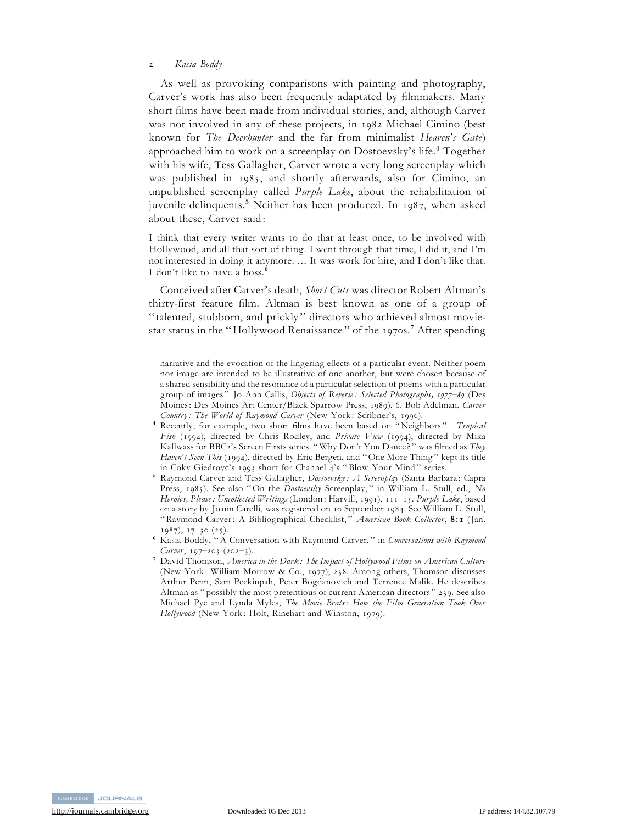As well as provoking comparisons with painting and photography, Carver's work has also been frequently adaptated by filmmakers. Many short films have been made from individual stories, and, although Carver was not involved in any of these projects, in 1982 Michael Cimino (best known for *The Deerhunter* and the far from minimalist *Heaven's Gate*) approached him to work on a screenplay on Dostoevsky's life.<sup>4</sup> Together with his wife, Tess Gallagher, Carver wrote a very long screenplay which was published in 1985, and shortly afterwards, also for Cimino, an unpublished screenplay called *Purple Lake*, about the rehabilitation of juvenile delinquents.<sup>5</sup> Neither has been produced. In  $1987$ , when asked about these, Carver said:

I think that every writer wants to do that at least once, to be involved with Hollywood, and all that sort of thing. I went through that time, I did it, and I'm not interested in doing it anymore. … It was work for hire, and I don't like that. I don't like to have a boss.<sup>6</sup>

Conceived after Carver's death, *Short Cuts* was director Robert Altman's thirty-first feature film. Altman is best known as one of a group of "talented, stubborn, and prickly" directors who achieved almost moviestar status in the "Hollywood Renaissance" of the 1970s.<sup>7</sup> After spending

narrative and the evocation of the lingering effects of a particular event. Neither poem nor image are intended to be illustrative of one another, but were chosen because of a shared sensibility and the resonance of a particular selection of poems with a particular group of images" Jo Ann Callis, *Objects of Reverie: Selected Photographs*, 1977-89 (Des Moines: Des Moines Art Center/Black Sparrow Press, 1989), 6. Bob Adelman, *Carver Country: The World of Raymond Carver* (New York: Scribner's, 1990).

Country: The World of Kaymona Carver (New York: Scribner s, 1990).<br><sup>4</sup> Recently, for example, two short films have been based on "Neighbors" – *Tropical* Fish (1994), directed by Chris Rodley, and *Private View* (1994), directed by Mika Kallwass for BBC2's Screen Firsts series. "Why Don't You Dance?" was filmed as *They* Haven't Seen This (1994), directed by Eric Bergen, and "One More Thing" kept its title in Coky Giedroyc's 1993 short for Channel 4's "Blow Your Mind" series. &

Raymond Carver and Tess Gallagher, *Dostoevsky : A Screenplay* (Santa Barbara: Capra Press, 1985). See also "On the *Dostoevsky* Screenplay," in William L. Stull, ed., *No* Heroics, Please : Uncollected Writings (London: Harvill, 1991), 111-15. Purple Lake, based on a story by Joann Carelli, was registered on 10 September 1984. See William L. Stull, ''Raymond Carver: A Bibliographical Checklist,'' *American Book Collector*, **:** (Jan.  $1987$ ),  $17-30$  (25).

<sup>&#</sup>x27; Kasia Boddy, ''A Conversation with Raymond Carver,'' in *Conversations with Raymond*  $Carver$ ,  $197-203$  ( $202-3$ ).  $\overline{a}$ 

David Thomson, *America in the Dark : The Impact of Hollywood Films on American Culture* (New York: William Morrow & Co., 1977), 238. Among others, Thomson discusses Arthur Penn, Sam Peckinpah, Peter Bogdanovich and Terrence Malik. He describes Altman as "possibly the most pretentious of current American directors" 239. See also Michael Pye and Lynda Myles, *The Movie Brats : How the Film Generation Took Over Hollywood* (New York: Holt, Rinehart and Winston, 1979).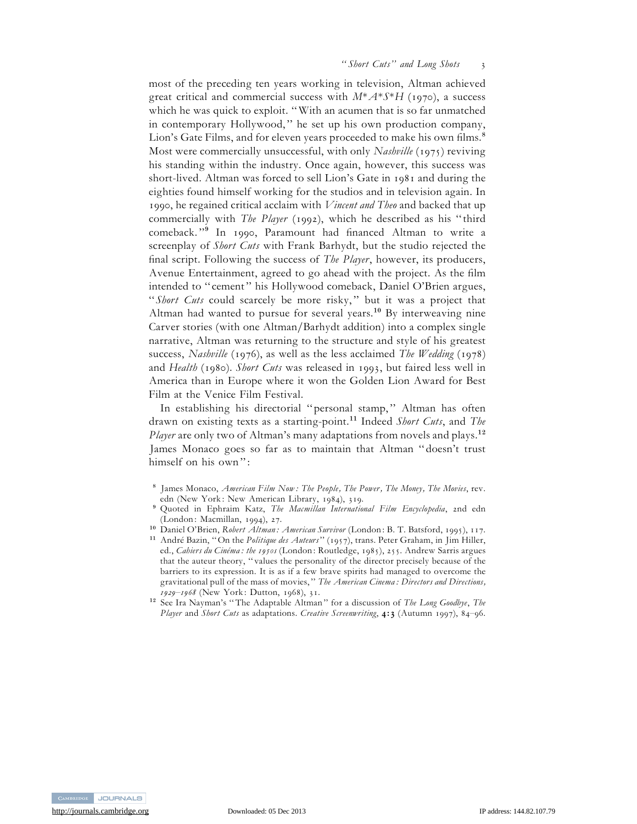most of the preceding ten years working in television, Altman achieved great critical and commercial success with  $M^*A^*S^*H$  (1970), a success which he was quick to exploit. ''With an acumen that is so far unmatched in contemporary Hollywood,'' he set up his own production company, Lion's Gate Films, and for eleven years proceeded to make his own films.<sup>8</sup> Most were commercially unsuccessful, with only *Nashville* (1975) reviving his standing within the industry. Once again, however, this success was short-lived. Altman was forced to sell Lion's Gate in  $1981$  and during the eighties found himself working for the studios and in television again. In , he regained critical acclaim with *Vincent and Theo* and backed that up commercially with *The Player* (1992), which he described as his "third comeback."<sup>9</sup> In 1990, Paramount had financed Altman to write a screenplay of *Short Cuts* with Frank Barhydt, but the studio rejected the final script. Following the success of *The Player*, however, its producers, Avenue Entertainment, agreed to go ahead with the project. As the film intended to ''cement'' his Hollywood comeback, Daniel O'Brien argues, "*Short Cuts* could scarcely be more risky," but it was a project that Altman had wanted to pursue for several years.<sup>10</sup> By interweaving nine Carver stories (with one Altman/Barhydt addition) into a complex single narrative, Altman was returning to the structure and style of his greatest success, *Nashville* (1976), as well as the less acclaimed *The Wedding* (1978) and *Health* (1980). *Short Cuts* was released in 1993, but faired less well in America than in Europe where it won the Golden Lion Award for Best Film at the Venice Film Festival.

In establishing his directorial "personal stamp," Altman has often drawn on existing texts as a starting-point.<sup>11</sup> Indeed *Short Cuts*, and *The Player* are only two of Altman's many adaptations from novels and plays.<sup>12</sup> James Monaco goes so far as to maintain that Altman ''doesn't trust himself on his own'':

- ) James Monaco, *American Film Now : The People, The Power, The Money, The Movies*, rev. edn (New York: New American Library, 1984), 319.
- <sup>9</sup> Quoted in Ephraim Katz, *The Macmillan International Film Encyclopedia*, 2nd edn (London: Macmillan, 1994), 27.
- " Daniel O'Brien, *Robert Altman: American Survivor* (London: B. T. Batsford, 1995), 117.<br><sup>10</sup> Daniel O'Brien, *Robert Altman: American Survivor* (London: B. T. Batsford, 1995), 117.
- <sup>11</sup> André Bazin, "On the *Politique des Auteurs*" (1957), trans. Peter Graham, in Jim Hiller, ed., *Cahiers du Cinéma : the 1950s* (London: Routledge, 1985), 255. Andrew Sarris argues that the auteur theory, '' values the personality of the director precisely because of the barriers to its expression. It is as if a few brave spirits had managed to overcome the gravitational pull of the mass of movies,'' *The American Cinema : Directors and Directions,* 1929–1968 (New York: Dutton, 1968), 31.
- "# See Ira Nayman's ''The Adaptable Altman'' for a discussion of *The Long Goodbye*, *The Player* and *Short Cuts* as adaptations. *Creative Screenwriting*, 4:3 (Autumn 1997), 84-96.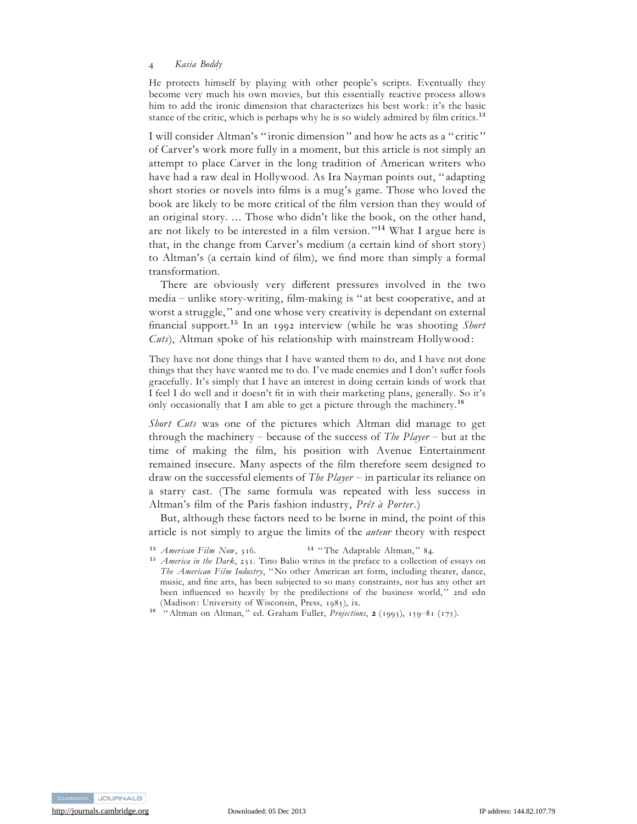He protects himself by playing with other people's scripts. Eventually they become very much his own movies, but this essentially reactive process allows him to add the ironic dimension that characterizes his best work: it's the basic stance of the critic, which is perhaps why he is so widely admired by film critics.<sup>13</sup>

I will consider Altman's ''ironic dimension'' and how he acts as a ''critic'' of Carver's work more fully in a moment, but this article is not simply an attempt to place Carver in the long tradition of American writers who have had a raw deal in Hollywood. As Ira Nayman points out, ''adapting short stories or novels into films is a mug's game. Those who loved the book are likely to be more critical of the film version than they would of an original story. … Those who didn't like the book, on the other hand, are not likely to be interested in a film version."<sup>14</sup> What I argue here is that, in the change from Carver's medium (a certain kind of short story) to Altman's (a certain kind of film), we find more than simply a formal transformation.

There are obviously very different pressures involved in the two media – unlike story-writing, film-making is ''at best cooperative, and at worst a struggle,'' and one whose very creativity is dependant on external financial support.<sup>15</sup> In an 1992 interview (while he was shooting *Short Cuts*), Altman spoke of his relationship with mainstream Hollywood:

They have not done things that I have wanted them to do, and I have not done things that they have wanted me to do. I've made enemies and I don't suffer fools gracefully. It's simply that I have an interest in doing certain kinds of work that I feel I do well and it doesn't fit in with their marketing plans, generally. So it's only occasionally that I am able to get a picture through the machinery.<sup>16</sup>

*Short Cuts* was one of the pictures which Altman did manage to get through the machinery – because of the success of *The Player* – but at the time of making the film, his position with Avenue Entertainment remained insecure. Many aspects of the film therefore seem designed to draw on the successful elements of *The Player* – in particular its reliance on a starry cast. (The same formula was repeated with less success in Altman's film of the Paris fashion industry, *Prêt à Porter*.)

But, although these factors need to be borne in mind, the point of this article is not simply to argue the limits of the *auteur* theory with respect

 $\frac{1}{1}$ <sup>14</sup> "The Adaptable Altman," 84. "<br>"

<sup>&</sup>lt;sup>15</sup> America in the Dark, 231. Tino Balio writes in the preface to a collection of essays on *The American Film Industry*, ''No other American art form, including theater, dance, music, and fine arts, has been subjected to so many constraints, nor has any other art been influenced so heavily by the predilections of the business world," and edn (Madison: University of Wisconsin, Press, 1985), ix.

madison: University of Wisconsin, Press, 1985), ix.<br><sup>16</sup> "Altman on Altman," ed. Graham Fuller, *Projections*, **2** (1993), 159–81 (175).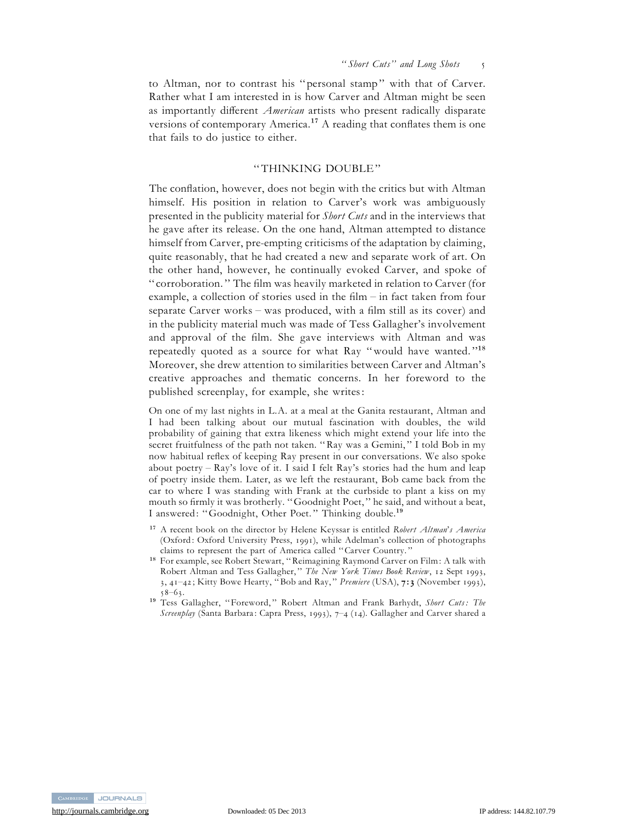to Altman, nor to contrast his ''personal stamp'' with that of Carver. Rather what I am interested in is how Carver and Altman might be seen as importantly different *American* artists who present radically disparate versions of contemporary America.<sup>17</sup> A reading that conflates them is one that fails to do justice to either.

# ''THINKING DOUBLE''

The conflation, however, does not begin with the critics but with Altman himself. His position in relation to Carver's work was ambiguously presented in the publicity material for *Short Cuts* and in the interviews that he gave after its release. On the one hand, Altman attempted to distance himself from Carver, pre-empting criticisms of the adaptation by claiming, quite reasonably, that he had created a new and separate work of art. On the other hand, however, he continually evoked Carver, and spoke of ''corroboration.'' The film was heavily marketed in relation to Carver (for example, a collection of stories used in the film – in fact taken from four separate Carver works – was produced, with a film still as its cover) and in the publicity material much was made of Tess Gallagher's involvement and approval of the film. She gave interviews with Altman and was repeatedly quoted as a source for what Ray "would have wanted."<sup>18</sup> Moreover, she drew attention to similarities between Carver and Altman's creative approaches and thematic concerns. In her foreword to the published screenplay, for example, she writes:

On one of my last nights in L.A. at a meal at the Ganita restaurant, Altman and I had been talking about our mutual fascination with doubles, the wild probability of gaining that extra likeness which might extend your life into the secret fruitfulness of the path not taken. "Ray was a Gemini," I told Bob in my now habitual reflex of keeping Ray present in our conversations. We also spoke about poetry – Ray's love of it. I said I felt Ray's stories had the hum and leap of poetry inside them. Later, as we left the restaurant, Bob came back from the car to where I was standing with Frank at the curbside to plant a kiss on my mouth so firmly it was brotherly. ''Goodnight Poet,'' he said, and without a beat, I answered: "Goodnight, Other Poet." Thinking double.<sup>19</sup>

- "( A recent book on the director by Helene Keyssar is entitled *Robert Altman*'*s America* (Oxford: Oxford University Press, 1991), while Adelman's collection of photographs claims to represent the part of America called ''Carver Country.''
- claims to represent the part of America called "Carver Country."<br><sup>18</sup> For example, see Robert Stewart, "Reimagining Raymond Carver on Film: A talk with Robert Altman and Tess Gallagher," The New York Times Book Review, 12 Sept 1993, 3, 41-42; Kitty Bowe Hearty, "Bob and Ray," *Premiere* (USA), **7:3** (November 1993),  $58-63$ .
- "\* Tess Gallagher, ''Foreword,'' Robert Altman and Frank Barhydt, *Short Cuts : The Screenplay* (Santa Barbara: Capra Press, 1993), 7-4 (14). Gallagher and Carver shared a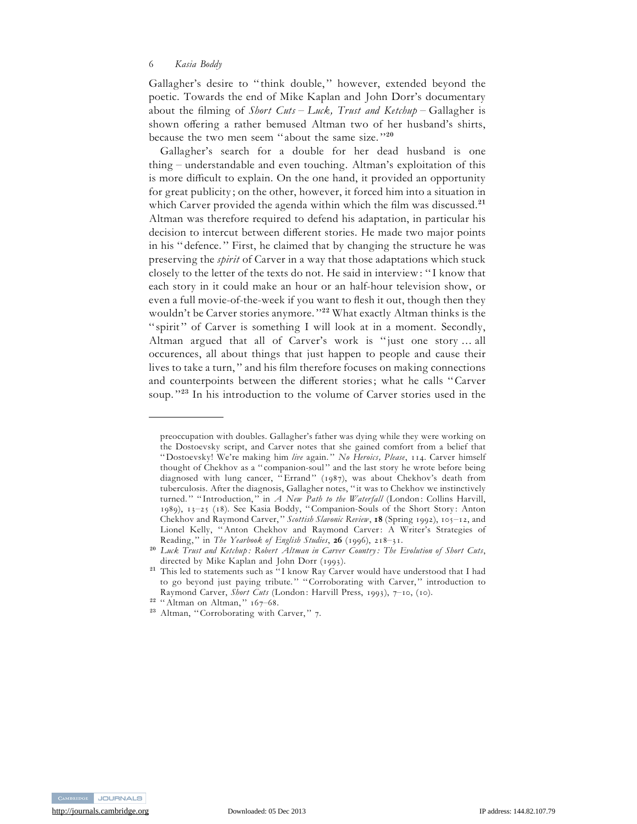Gallagher's desire to '' think double,'' however, extended beyond the poetic. Towards the end of Mike Kaplan and John Dorr's documentary about the filming of *Short Cuts* – *Luck, Trust and Ketchup* – Gallagher is shown offering a rather bemused Altman two of her husband's shirts, because the two men seem "about the same size."<sup>20</sup>

Gallagher's search for a double for her dead husband is one thing – understandable and even touching. Altman's exploitation of this is more difficult to explain. On the one hand, it provided an opportunity for great publicity; on the other, however, it forced him into a situation in which Carver provided the agenda within which the film was discussed. $^{21}$ Altman was therefore required to defend his adaptation, in particular his decision to intercut between different stories. He made two major points in his ''defence.'' First, he claimed that by changing the structure he was preserving the *spirit* of Carver in a way that those adaptations which stuck closely to the letter of the texts do not. He said in interview: '' I know that each story in it could make an hour or an half-hour television show, or even a full movie-of-the-week if you want to flesh it out, though then they wouldn't be Carver stories anymore."<sup>22</sup> What exactly Altman thinks is the "spirit" of Carver is something I will look at in a moment. Secondly, Altman argued that all of Carver's work is ''just one story … all occurences, all about things that just happen to people and cause their lives to take a turn,'' and his film therefore focuses on making connections and counterpoints between the different stories; what he calls ''Carver soup."<sup>23</sup> In his introduction to the volume of Carver stories used in the

preoccupation with doubles. Gallagher's father was dying while they were working on the Dostoevsky script, and Carver notes that she gained comfort from a belief that "Dostoevsky! We're making him live again." No Heroics, Please, 114. Carver himself thought of Chekhov as a '' companion-soul'' and the last story he wrote before being diagnosed with lung cancer, "Errand" (1987), was about Chekhov's death from tuberculosis. After the diagnosis, Gallagher notes, ''it was to Chekhov we instinctively turned." "Introduction," in *A New Path to the Waterfall* (London: Collins Harvill, 1989), 13-25 (18). See Kasia Boddy, "Companion-Souls of the Short Story: Anton Chekhov and Raymond Carver," *Scottish Slavonic Review*, **18** (Spring 1992), 105-12, and Lionel Kelly, ''Anton Chekhov and Raymond Carver: A Writer's Strategies of Reading," in *The Yearbook of English Studies*, 26 (1996), 218-31.

<sup>#!</sup> *Luck Trust and Ketchup : Robert Altman in Carver Country : The Evolution of Short Cuts*, directed by Mike Kaplan and John Dorr (1993).

directed by Mike Kaplan and John Dorr (1993).<br><sup>21</sup> This led to statements such as "I know Ray Carver would have understood that I had to go beyond just paying tribute.'' ''Corroborating with Carver,'' introduction to Raymond Carver, *Short Cuts* (London: Harvill Press, 1993), 7-10, (10).

Raymond Carver, *Short Cuts* (L<br>
<sup>22</sup> "Altman on Altman," 167–68.

<sup>&</sup>lt;sup>23</sup> Altman, "Corroborating with Carver," 7.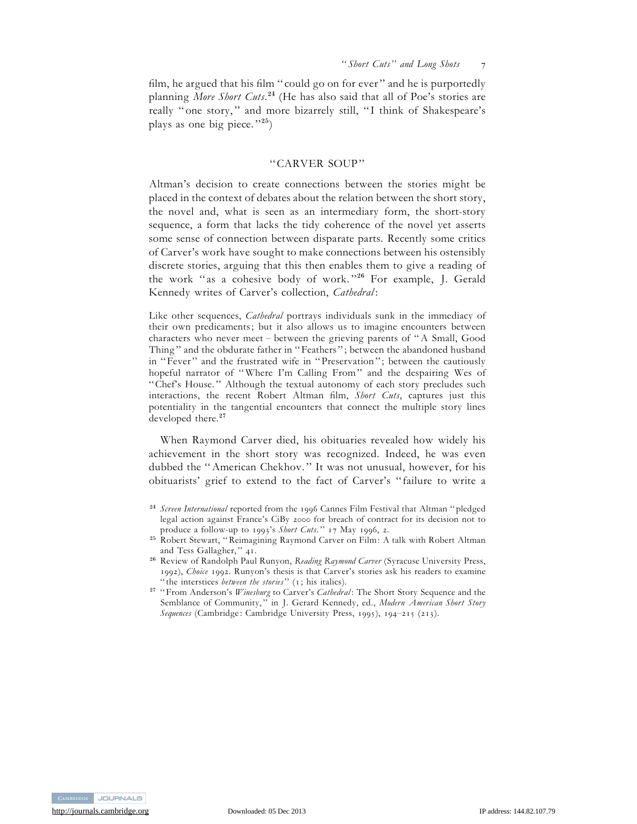film, he argued that his film ''could go on for ever'' and he is purportedly planning *More Short Cuts*.<sup>24</sup> (He has also said that all of Poe's stories are really "one story," and more bizarrely still, "I think of Shakespeare's plays as one big piece." $^{25}$ )

### ''CARVER SOUP''

Altman's decision to create connections between the stories might be placed in the context of debates about the relation between the short story, the novel and, what is seen as an intermediary form, the short-story sequence, a form that lacks the tidy coherence of the novel yet asserts some sense of connection between disparate parts. Recently some critics of Carver's work have sought to make connections between his ostensibly discrete stories, arguing that this then enables them to give a reading of the work "as a cohesive body of work."<sup>26</sup> For example, J. Gerald Kennedy writes of Carver's collection, *Cathedral*:

Like other sequences, *Cathedral* portrays individuals sunk in the immediacy of their own predicaments; but it also allows us to imagine encounters between characters who never meet – between the grieving parents of ''A Small, Good Thing" and the obdurate father in "Feathers"; between the abandoned husband in ''Fever'' and the frustrated wife in ''Preservation''; between the cautiously hopeful narrator of ''Where I'm Calling From'' and the despairing Wes of ''Chef's House.'' Although the textual autonomy of each story precludes such interactions, the recent Robert Altman film, *Short Cuts*, captures just this potentiality in the tangential encounters that connect the multiple story lines developed there. $27$ 

When Raymond Carver died, his obituaries revealed how widely his achievement in the short story was recognized. Indeed, he was even dubbed the ''American Chekhov.'' It was not unusual, however, for his obituarists' grief to extend to the fact of Carver's '' failure to write a

<sup>&</sup>lt;sup>24</sup> *Screen International* reported from the 1996 Cannes Film Festival that Altman "pledged legal action against France's CiBy 2000 for breach of contract for its decision not to produce a follow-up to  $1993$ 's *Short Cuts*."  $17$  May  $1996$ , 2.

 $^{25}$  Produce a follow-up to 1993's *Short Cuts*." 17 May 1996, 2.<br><sup>25</sup> Robert Stewart, "Reimagining Raymond Carver on Film: A talk with Robert Altman and Tess Gallagher," 41.

and Tess Gallagher," 41.<br><sup>26</sup> Review of Randolph Paul Runyon, *Reading Raymond Carver* (Syracuse University Press, 1992), *Choice* 1992. Runyon's thesis is that Carver's stories ask his readers to examine "the interstices *between the stories*" (1; his italics).

<sup>#(</sup> ''From Anderson's *Winesburg* to Carver's *Cathedral*: The Short Story Sequence and the Semblance of Community,'' in J. Gerard Kennedy, ed., *Modern American Short Story Sequences* (Cambridge: Cambridge University Press, 1995), 194-215 (213).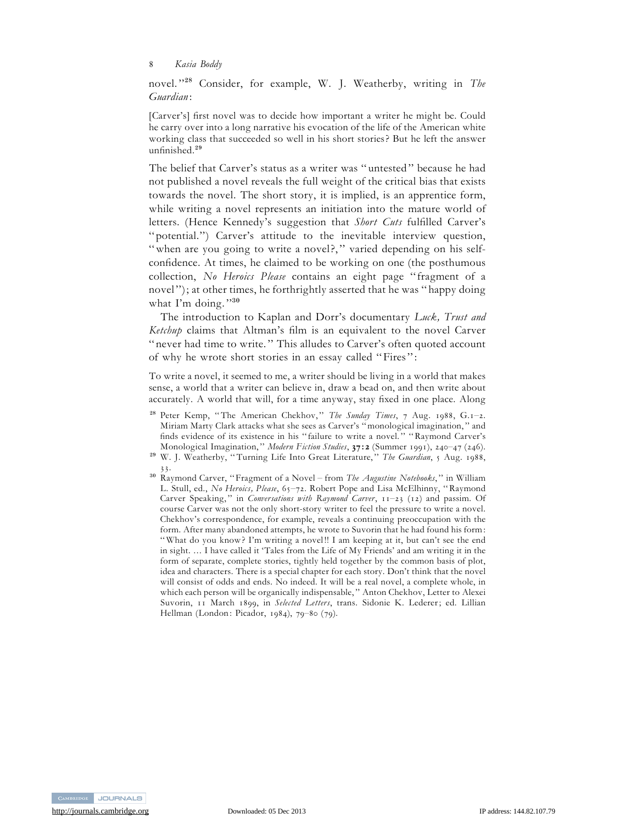novel."<sup>28</sup> Consider, for example, W. J. Weatherby, writing in *The Guardian* :

[Carver's] first novel was to decide how important a writer he might be. Could he carry over into a long narrative his evocation of the life of the American white working class that succeeded so well in his short stories ? But he left the answer unfinished.<sup>29</sup>

The belief that Carver's status as a writer was ''untested'' because he had not published a novel reveals the full weight of the critical bias that exists towards the novel. The short story, it is implied, is an apprentice form, while writing a novel represents an initiation into the mature world of letters. (Hence Kennedy's suggestion that *Short Cuts* fulfilled Carver's "potential.") Carver's attitude to the inevitable interview question, "when are you going to write a novel?," varied depending on his selfconfidence. At times, he claimed to be working on one (the posthumous collection, *No Heroics Please* contains an eight page '' fragment of a novel''); at other times, he forthrightly asserted that he was ''happy doing what I'm doing."30

The introduction to Kaplan and Dorr's documentary *Luck, Trust and Ketchup* claims that Altman's film is an equivalent to the novel Carver "never had time to write." This alludes to Carver's often quoted account of why he wrote short stories in an essay called ''Fires'':

To write a novel, it seemed to me, a writer should be living in a world that makes sense, a world that a writer can believe in, draw a bead on, and then write about accurately. A world that will, for a time anyway, stay fixed in one place. Along

- <sup>28</sup> Peter Kemp, "The American Chekhov," *The Sunday Times*, 7 Aug. 1988, G.1-2. Miriam Marty Clark attacks what she sees as Carver's ''monological imagination,'' and finds evidence of its existence in his "failure to write a novel." "Raymond Carver's Monological Imagination," *Modern Fiction Studies*, 37:2 (Summer 1991), 240-47 (246).
- Monological Imagination,'' Modern Fiction Studies, **37:2** (Summer 1991), 240–47 (246).<br><sup>29</sup> W. J. Weatherby, ''Turning Life Into Great Literature,'' *The Guardian*, 5 Aug. 1988, . \$! Raymond Carver, ''Fragment of a Novel – from *The Augustine Notebooks*,'' in William
- L. Stull, ed., *No Heroics, Please*, 65-72. Robert Pope and Lisa McElhinny, "Raymond Carver Speaking," in *Conversations with Raymond Carver*, 11-23 (12) and passim. Of course Carver was not the only short-story writer to feel the pressure to write a novel. Chekhov's correspondence, for example, reveals a continuing preoccupation with the form. After many abandoned attempts, he wrote to Suvorin that he had found his form: ''What do you know ? I'm writing a novel!! I am keeping at it, but can't see the end in sight. … I have called it 'Tales from the Life of My Friends' and am writing it in the form of separate, complete stories, tightly held together by the common basis of plot, idea and characters. There is a special chapter for each story. Don't think that the novel will consist of odds and ends. No indeed. It will be a real novel, a complete whole, in which each person will be organically indispensable,'' Anton Chekhov, Letter to Alexei Suvorin, 11 March 1899, in *Selected Letters*, trans. Sidonie K. Lederer; ed. Lillian Hellman (London: Picador, 1984), 79-80 (79).

CAMBRIDGE JOURNALS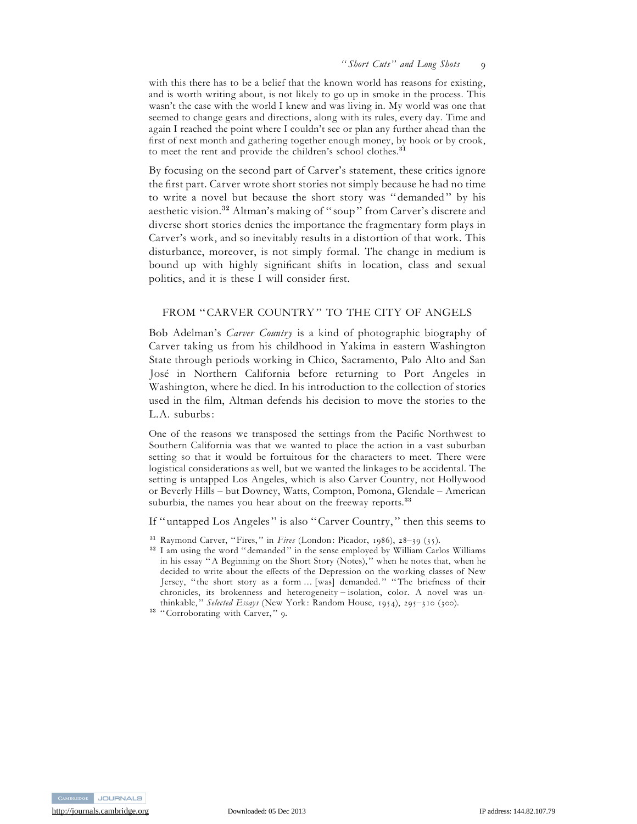with this there has to be a belief that the known world has reasons for existing, and is worth writing about, is not likely to go up in smoke in the process. This wasn't the case with the world I knew and was living in. My world was one that seemed to change gears and directions, along with its rules, every day. Time and again I reached the point where I couldn't see or plan any further ahead than the first of next month and gathering together enough money, by hook or by crook, to meet the rent and provide the children's school clothes.<sup>31</sup>

By focusing on the second part of Carver's statement, these critics ignore the first part. Carver wrote short stories not simply because he had no time to write a novel but because the short story was ''demanded'' by his aesthetic vision.<sup>32</sup> Altman's making of "soup" from Carver's discrete and diverse short stories denies the importance the fragmentary form plays in Carver's work, and so inevitably results in a distortion of that work. This disturbance, moreover, is not simply formal. The change in medium is bound up with highly significant shifts in location, class and sexual politics, and it is these I will consider first.

# FROM "CARVER COUNTRY" TO THE CITY OF ANGELS

Bob Adelman's *Carver Country* is a kind of photographic biography of Carver taking us from his childhood in Yakima in eastern Washington State through periods working in Chico, Sacramento, Palo Alto and San José in Northern California before returning to Port Angeles in Washington, where he died. In his introduction to the collection of stories used in the film, Altman defends his decision to move the stories to the L.A. suburbs:

One of the reasons we transposed the settings from the Pacific Northwest to Southern California was that we wanted to place the action in a vast suburban setting so that it would be fortuitous for the characters to meet. There were logistical considerations as well, but we wanted the linkages to be accidental. The setting is untapped Los Angeles, which is also Carver Country, not Hollywood or Beverly Hills – but Downey, Watts, Compton, Pomona, Glendale – American suburbia, the names you hear about on the freeway reports.<sup>33</sup>

If ''untapped Los Angeles'' is also ''Carver Country,'' then this seems to

- <sup>31</sup> Raymond Carver, "Fires," in *Fires* (London: Picador, 1986), 28–39 (35).
- $32$  I am using the word "demanded" in the sense employed by William Carlos Williams in his essay ''A Beginning on the Short Story (Notes),'' when he notes that, when he decided to write about the effects of the Depression on the working classes of New Jersey, '' the short story as a form … [was] demanded.'' ''The briefness of their chronicles, its brokenness and heterogeneity – isolation, color. A novel was unthinkable," *Selected Essays* (New York: Random House, 1954), 295-310 (300).

thinkable, "*Selected Essays* (New<br><sup>33</sup> "Corroborating with Carver," 9.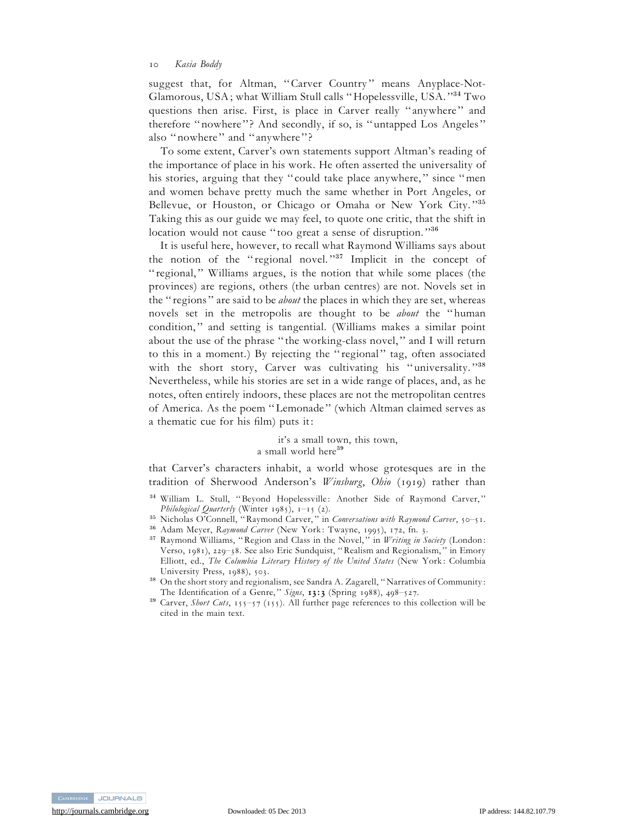suggest that, for Altman, "Carver Country" means Anyplace-Not-Glamorous, USA; what William Stull calls "Hopelessville, USA."34 Two questions then arise. First, is place in Carver really ''anywhere'' and therefore "nowhere"? And secondly, if so, is "untapped Los Angeles" also "nowhere" and "anywhere"?

To some extent, Carver's own statements support Altman's reading of the importance of place in his work. He often asserted the universality of his stories, arguing that they "could take place anywhere," since "men and women behave pretty much the same whether in Port Angeles, or Bellevue, or Houston, or Chicago or Omaha or New York City."35 Taking this as our guide we may feel, to quote one critic, that the shift in location would not cause "too great a sense of disruption."<sup>36</sup>

It is useful here, however, to recall what Raymond Williams says about the notion of the "regional novel." $37$  Implicit in the concept of "regional," Williams argues, is the notion that while some places (the provinces) are regions, others (the urban centres) are not. Novels set in the '' regions'' are said to be *about* the places in which they are set, whereas novels set in the metropolis are thought to be *about* the ''human condition,'' and setting is tangential. (Williams makes a similar point about the use of the phrase '' the working-class novel,'' and I will return to this in a moment.) By rejecting the '' regional'' tag, often associated with the short story, Carver was cultivating his "universality."38 Nevertheless, while his stories are set in a wide range of places, and, as he notes, often entirely indoors, these places are not the metropolitan centres of America. As the poem ''Lemonade'' (which Altman claimed serves as a thematic cue for his film) puts it:

> it's a small town, this town, a small world here<sup>39</sup>

that Carver's characters inhabit, a world whose grotesques are in the tradition of Sherwood Anderson's *Winsburg*, *Ohio* (1919) rather than

<sup>37</sup> Raymond Williams, "Region and Class in the Novel," in *Writing in Society* (London: Verso, 1981), 229-38. See also Eric Sundquist, "Realism and Regionalism," in Emory Elliott, ed., *The Columbia Literary History of the United States* (New York: Columbia University Press, 1988), 503.

<sup>&</sup>lt;sup>34</sup> William L. Stull, "Beyond Hopelessville: Another Side of Raymond Carver," *Philological Quarterly* (Winter 1985),  $1-15$  (2).

<sup>%&</sup>lt;br><sup>38</sup> Nicholas O'Connell, "Raymond Carver," in *Conversations with Raymond Carver*, 50–51.<br><sup>36</sup> A Jam Man Olim Carver, <sup>1</sup>. Transfer of the Man San Wall.

<sup>&</sup>lt;sup>36</sup> Adam Meyer, *Raymond Carver* (New York: Twayne, 1995), 172, fn. 3.

<sup>\$)</sup> On the short story and regionalism, see Sandra A. Zagarell, ''Narratives of Community: The Identification of a Genre," *Signs*, **13:3** (Spring 1988), 498-527.

The Identification of a Genre," *Signs*, **13:3** (Spring 1988), 498–527.<br><sup>39</sup> Carver, *Short Cuts*, 155–57 (155). All further page references to this collection will be cited in the main text.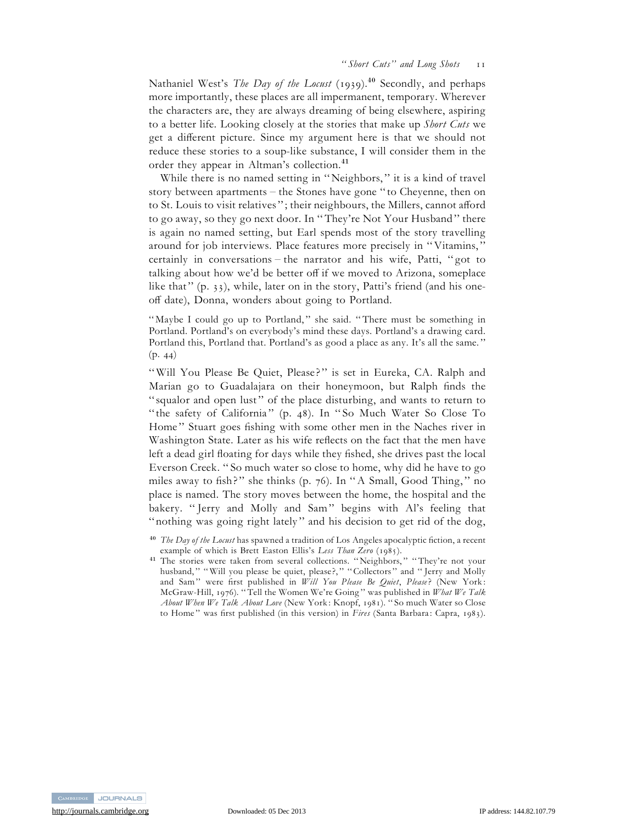Nathaniel West's *The Day of the Locust* (1939).<sup>40</sup> Secondly, and perhaps more importantly, these places are all impermanent, temporary. Wherever the characters are, they are always dreaming of being elsewhere, aspiring to a better life. Looking closely at the stories that make up *Short Cuts* we get a different picture. Since my argument here is that we should not reduce these stories to a soup-like substance, I will consider them in the order they appear in Altman's collection.<sup>41</sup>

While there is no named setting in "Neighbors," it is a kind of travel story between apartments – the Stones have gone '' to Cheyenne, then on to St. Louis to visit relatives''; their neighbours, the Millers, cannot afford to go away, so they go next door. In ''They're Not Your Husband'' there is again no named setting, but Earl spends most of the story travelling around for job interviews. Place features more precisely in ''Vitamins,'' certainly in conversations – the narrator and his wife, Patti, ''got to talking about how we'd be better off if we moved to Arizona, someplace like that" (p. 33), while, later on in the story, Patti's friend (and his oneoff date), Donna, wonders about going to Portland.

''Maybe I could go up to Portland,'' she said. ''There must be something in Portland. Portland's on everybody's mind these days. Portland's a drawing card. Portland this, Portland that. Portland's as good a place as any. It's all the same.''  $(p. 44)$ 

"Will You Please Be Quiet, Please?" is set in Eureka, CA. Ralph and Marian go to Guadalajara on their honeymoon, but Ralph finds the '' squalor and open lust'' of the place disturbing, and wants to return to "the safety of California" (p. 48). In "So Much Water So Close To Home'' Stuart goes fishing with some other men in the Naches river in Washington State. Later as his wife reflects on the fact that the men have left a dead girl floating for days while they fished, she drives past the local Everson Creek. ''So much water so close to home, why did he have to go miles away to fish?" she thinks (p. 76). In "A Small, Good Thing," no place is named. The story moves between the home, the hospital and the bakery. ''Jerry and Molly and Sam'' begins with Al's feeling that "nothing was going right lately" and his decision to get rid of the dog,

<sup>&</sup>lt;sup>40</sup> *The Day of the Locust* has spawned a tradition of Los Angeles apocalyptic fiction, a recent example of which is Brett Easton Ellis's *Less Than Zero* (1985).  $^{\frac{1}{4}}$ 

The stories were taken from several collections. ''Neighbors,'' ''They're not your husband,'' ''Will you please be quiet, please?,'' ''Collectors'' and ''Jerry and Molly and Sam'' were first published in *Will You Please Be Quiet*, *Please*? (New York: McGraw-Hill, 1976). "Tell the Women We're Going" was published in *What We Talk About When We Talk About Love* (New York: Knopf, 1981). "So much Water so Close to Home" was first published (in this version) in *Fires* (Santa Barbara: Capra, 1983).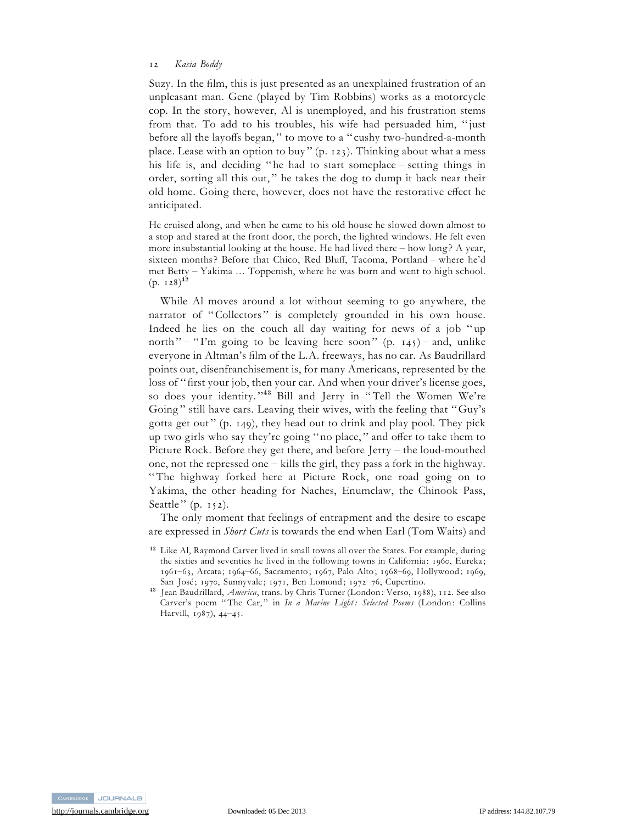Suzy. In the film, this is just presented as an unexplained frustration of an unpleasant man. Gene (played by Tim Robbins) works as a motorcycle cop. In the story, however, Al is unemployed, and his frustration stems from that. To add to his troubles, his wife had persuaded him, ''just before all the layoffs began,'' to move to a ''cushy two-hundred-a-month place. Lease with an option to buy" (p. 123). Thinking about what a mess his life is, and deciding ''he had to start someplace – setting things in order, sorting all this out,'' he takes the dog to dump it back near their old home. Going there, however, does not have the restorative effect he anticipated.

He cruised along, and when he came to his old house he slowed down almost to a stop and stared at the front door, the porch, the lighted windows. He felt even more insubstantial looking at the house. He had lived there – how long ? A year, sixteen months? Before that Chico, Red Bluff, Tacoma, Portland – where he'd met Betty – Yakima … Toppenish, where he was born and went to high school.  $(p. 128)^{42}$ 

While Al moves around a lot without seeming to go anywhere, the narrator of ''Collectors'' is completely grounded in his own house. Indeed he lies on the couch all day waiting for news of a job ''up north" – "I'm going to be leaving here soon" (p.  $145$ ) – and, unlike everyone in Altman's film of the L.A. freeways, has no car. As Baudrillard points out, disenfranchisement is, for many Americans, represented by the loss of ''first your job, then your car. And when your driver's license goes, so does your identity."<sup>43</sup> Bill and Jerry in "Tell the Women We're Going'' still have cars. Leaving their wives, with the feeling that ''Guy's gotta get out" (p. 149), they head out to drink and play pool. They pick up two girls who say they're going ''no place,'' and offer to take them to Picture Rock. Before they get there, and before Jerry – the loud-mouthed one, not the repressed one – kills the girl, they pass a fork in the highway. ''The highway forked here at Picture Rock, one road going on to Yakima, the other heading for Naches, Enumclaw, the Chinook Pass, Seattle"  $(p. 152)$ .

The only moment that feelings of entrapment and the desire to escape are expressed in *Short Cuts* is towards the end when Earl (Tom Waits) and

<sup>&</sup>lt;sup>42</sup> Like Al, Raymond Carver lived in small towns all over the States. For example, during the sixties and seventies he lived in the following towns in California: 1960, Eureka; 1961-63, Arcata; 1964-66, Sacramento; 1967, Palo Alto; 1968-69, Hollywood; 1969, San José; 1970, Sunnyvale; 1971, Ben Lomond; 1972-76, Cupertino.

<sup>%</sup> San Jose; 1970, Sunnyvale; 1971, Ben Lomond; 1972–76, Cupertino.<br><sup>43</sup> Jean Baudrillard, *America*, trans. by Chris Turner (London: Verso, 1988), 112. See also Carver's poem "The Car," in *In a Marine Light: Selected Poems* (London: Collins Harvill, 1987), 44-45.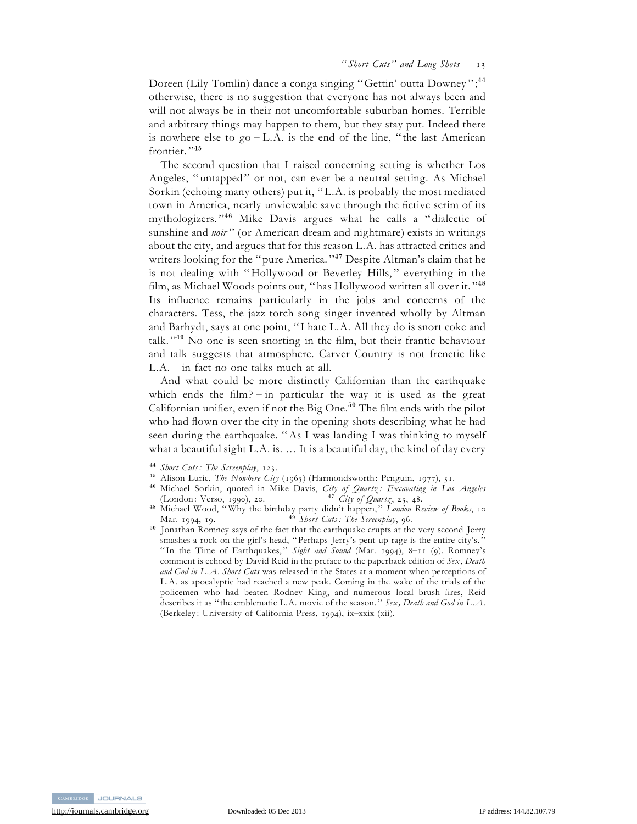Doreen (Lily Tomlin) dance a conga singing "Gettin' outta Downey";<sup>44</sup> otherwise, there is no suggestion that everyone has not always been and will not always be in their not uncomfortable suburban homes. Terrible and arbitrary things may happen to them, but they stay put. Indeed there is nowhere else to  $g_0$  – L.A. is the end of the line, "the last American frontier."<sup>45</sup>

The second question that I raised concerning setting is whether Los Angeles, ''untapped'' or not, can ever be a neutral setting. As Michael Sorkin (echoing many others) put it, ''L.A. is probably the most mediated town in America, nearly unviewable save through the fictive scrim of its mythologizers."<sup>46</sup> Mike Davis argues what he calls a "dialectic of sunshine and *noir*" (or American dream and nightmare) exists in writings about the city, and argues that for this reason L.A. has attracted critics and writers looking for the "pure America."<sup>47</sup> Despite Altman's claim that he is not dealing with ''Hollywood or Beverley Hills,'' everything in the film, as Michael Woods points out, "has Hollywood written all over it."<sup>48</sup> Its influence remains particularly in the jobs and concerns of the characters. Tess, the jazz torch song singer invented wholly by Altman and Barhydt, says at one point, '' I hate L.A. All they do is snort coke and talk." $49$  No one is seen snorting in the film, but their frantic behaviour and talk suggests that atmosphere. Carver Country is not frenetic like L.A. – in fact no one talks much at all.

And what could be more distinctly Californian than the earthquake which ends the film? – in particular the way it is used as the great Californian unifier, even if not the Big One. $50$  The film ends with the pilot who had flown over the city in the opening shots describing what he had seen during the earthquake. "As I was landing I was thinking to myself what a beautiful sight L.A. is. … It is a beautiful day, the kind of day every

- <sup>45</sup> Alison Lurie, *The Nowhere City* (1965) (Harmondsworth: Penguin, 1977), 31.
- <sup>26</sup> Alison Lurie, *I he INowhere City* (1965) (Harmondsworth: Penguin, 1977), 31.<br><sup>46</sup> Michael Sorkin, quoted in Mike Davis, *City of Quartz*: *Excavating in Los Angeles*<br>(London: Verso, 1990), 20.<br>*<sup>47</sup> City of Quartz*,
- %) Michael Wood, ''Why the birthday party didn't happen,'' *London Review of Books*, Mar. , . %\* *Short Cuts : The Screenplay*, .
- $\frac{36}{100}$  Jonathan Romney says of the fact that the earthquake erupts at the very second Jerry smashes a rock on the girl's head, ''Perhaps Jerry's pent-up rage is the entire city's.'' "In the Time of Earthquakes," *Sight and Sound* (Mar. 1994), 8-11 (9). Romney's comment is echoed by David Reid in the preface to the paperback edition of *Sex, Death and God in L.A*. *Short Cuts* was released in the States at a moment when perceptions of L.A. as apocalyptic had reached a new peak. Coming in the wake of the trials of the policemen who had beaten Rodney King, and numerous local brush fires, Reid describes it as '' the emblematic L.A. movie of the season.'' *Sex, Death and God in L.A.* (Berkeley: University of California Press, 1994), ix-xxix (xii).

CAMBRIDGE JOURNALS

<sup>&</sup>lt;sup>44</sup> Short Cuts: The Screenplay, 123.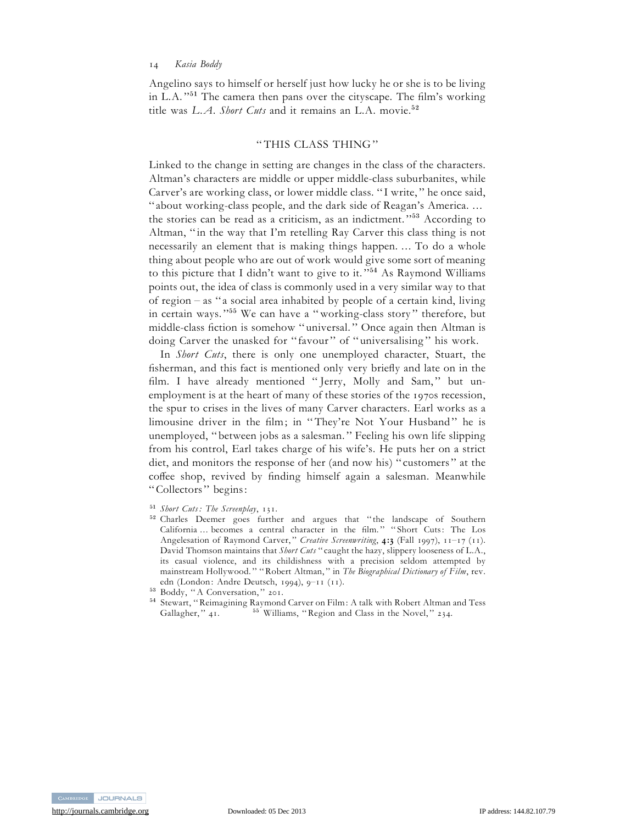Angelino says to himself or herself just how lucky he or she is to be living in L.A.<sup>351</sup> The camera then pans over the cityscape. The film's working title was  $L.A.$  *Short Cuts* and it remains an  $L.A.$  movie.<sup>52</sup>

# ''THIS CLASS THING''

Linked to the change in setting are changes in the class of the characters. Altman's characters are middle or upper middle-class suburbanites, while Carver's are working class, or lower middle class. "I write," he once said, ''about working-class people, and the dark side of Reagan's America. … the stories can be read as a criticism, as an indictment."<sup>53</sup> According to Altman, ''in the way that I'm retelling Ray Carver this class thing is not necessarily an element that is making things happen. … To do a whole thing about people who are out of work would give some sort of meaning to this picture that I didn't want to give to it."<sup>54</sup> As Raymond Williams points out, the idea of class is commonly used in a very similar way to that of region – as ''a social area inhabited by people of a certain kind, living in certain ways."<sup>55</sup> We can have a "working-class story" therefore, but middle-class fiction is somehow ''universal.'' Once again then Altman is doing Carver the unasked for "favour" of "universalising" his work.

In *Short Cuts*, there is only one unemployed character, Stuart, the fisherman, and this fact is mentioned only very briefly and late on in the film. I have already mentioned "Jerry, Molly and Sam," but unemployment is at the heart of many of these stories of the 1970s recession, the spur to crises in the lives of many Carver characters. Earl works as a limousine driver in the film; in ''They're Not Your Husband'' he is unemployed, ''between jobs as a salesman.'' Feeling his own life slipping from his control, Earl takes charge of his wife's. He puts her on a strict diet, and monitors the response of her (and now his) ''customers'' at the coffee shop, revived by finding himself again a salesman. Meanwhile ''Collectors'' begins:

- <sup>51</sup> Short Cuts: The Screenplay, 131.
- <sup>52</sup> Charles Deemer goes further and argues that "the landscape of Southern California … becomes a central character in the film.'' '' Short Cuts: The Los Angelesation of Raymond Carver," *Creative Screenwriting*, 4:3 (Fall 1997), 11-17 (11). David Thomson maintains that *Short Cuts* '' caught the hazy, slippery looseness of L.A., its casual violence, and its childishness with a precision seldom attempted by mainstream Hollywood.'' ''Robert Altman,'' in *The Biographical Dictionary of Film*, rev. edn (London: Andre Deutsch, 1994), 9-11 (11).
- edn (London: Andre Deutsch, 1<br>
<sup>53</sup> Boddy, "A Conversation," 201.
- <sup>54</sup> Stewart, "Reimagining Raymond Carver on Film: A talk with Robert Altman and Tess Gallagher," 41. <sup>55</sup> Williams, "Region and Class in the Novel," 234.  $^{55}$  Williams, "Region and Class in the Novel," 234.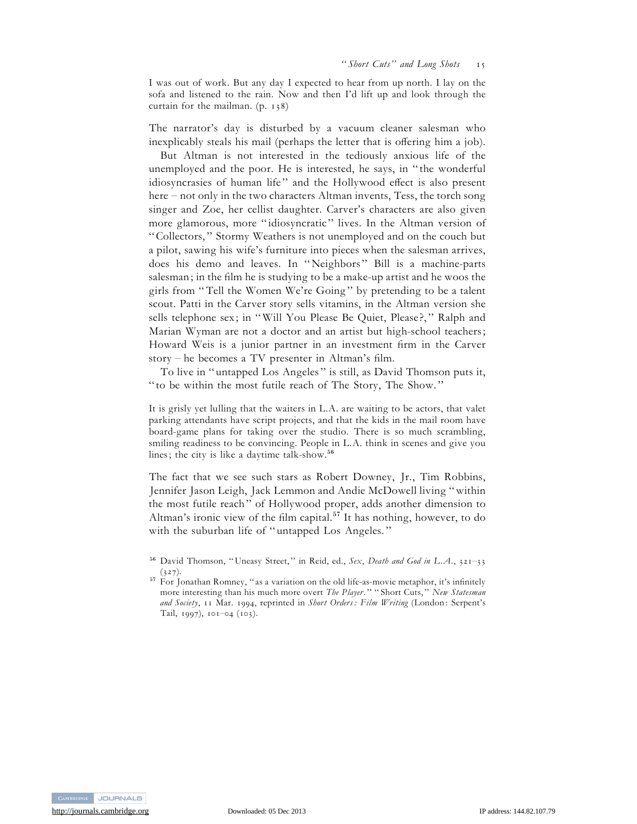I was out of work. But any day I expected to hear from up north. I lay on the sofa and listened to the rain. Now and then I'd lift up and look through the curtain for the mailman.  $(p. 138)$ 

The narrator's day is disturbed by a vacuum cleaner salesman who inexplicably steals his mail (perhaps the letter that is offering him a job).

But Altman is not interested in the tediously anxious life of the unemployed and the poor. He is interested, he says, in '' the wonderful idiosyncrasies of human life'' and the Hollywood effect is also present here – not only in the two characters Altman invents, Tess, the torch song singer and Zoe, her cellist daughter. Carver's characters are also given more glamorous, more ''idiosyncratic'' lives. In the Altman version of ''Collectors,'' Stormy Weathers is not unemployed and on the couch but a pilot, sawing his wife's furniture into pieces when the salesman arrives, does his demo and leaves. In ''Neighbors'' Bill is a machine-parts salesman; in the film he is studying to be a make-up artist and he woos the girls from ''Tell the Women We're Going'' by pretending to be a talent scout. Patti in the Carver story sells vitamins, in the Altman version she sells telephone sex; in "Will You Please Be Quiet, Please?," Ralph and Marian Wyman are not a doctor and an artist but high-school teachers; Howard Weis is a junior partner in an investment firm in the Carver story – he becomes a TV presenter in Altman's film.

To live in ''untapped Los Angeles'' is still, as David Thomson puts it, '' to be within the most futile reach of The Story, The Show.''

It is grisly yet lulling that the waiters in L.A. are waiting to be actors, that valet parking attendants have script projects, and that the kids in the mail room have board-game plans for taking over the studio. There is so much scrambling, smiling readiness to be convincing. People in L.A. think in scenes and give you lines; the city is like a daytime talk-show. $56$ 

The fact that we see such stars as Robert Downey, Jr., Tim Robbins, Jennifer Jason Leigh, Jack Lemmon and Andie McDowell living ''within the most futile reach'' of Hollywood proper, adds another dimension to Altman's ironic view of the film capital.<sup>57</sup> It has nothing, however, to do with the suburban life of ''untapped Los Angeles.''

<sup>&</sup>lt;sup>56</sup> David Thomson, "Uneasy Street," in Reid, ed., *Sex, Death and God in L.A.*, 321-33  $(327).$ 

 $\frac{(3^{27})^{16}}{5^{57}}$  For Jonathan Romney, '' as a variation on the old life-as-movie metaphor, it's infinitely more interesting than his much more overt *The Player*.'' '' Short Cuts,'' *New Statesman* and Society, 11 Mar. 1994, reprinted in *Short Orders: Film Writing* (London: Serpent's Tail, 1997),  $101 - 04$  (103).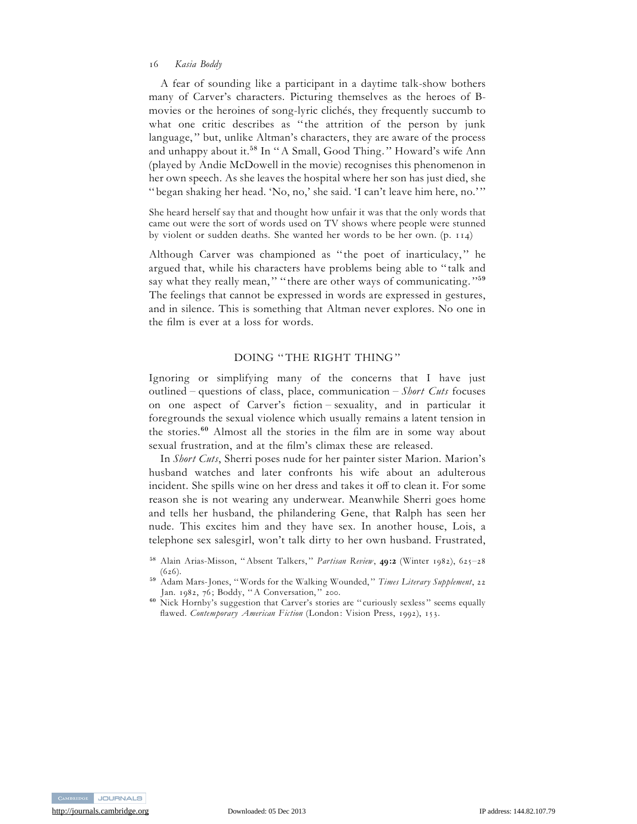A fear of sounding like a participant in a daytime talk-show bothers many of Carver's characters. Picturing themselves as the heroes of Bmovies or the heroines of song-lyric clichés, they frequently succumb to what one critic describes as "the attrition of the person by junk language,'' but, unlike Altman's characters, they are aware of the process and unhappy about it.<sup>58</sup> In "A Small, Good Thing." Howard's wife Ann (played by Andie McDowell in the movie) recognises this phenomenon in her own speech. As she leaves the hospital where her son has just died, she ''began shaking her head. 'No, no,' she said. 'I can't leave him here, no.'''

She heard herself say that and thought how unfair it was that the only words that came out were the sort of words used on TV shows where people were stunned by violent or sudden deaths. She wanted her words to be her own. (p. 114)

Although Carver was championed as '' the poet of inarticulacy,'' he argued that, while his characters have problems being able to '' talk and say what they really mean," "there are other ways of communicating." $59$ The feelings that cannot be expressed in words are expressed in gestures, and in silence. This is something that Altman never explores. No one in the film is ever at a loss for words.

# DOING ''THE RIGHT THING''

Ignoring or simplifying many of the concerns that I have just outlined – questions of class, place, communication – *Short Cuts* focuses on one aspect of Carver's fiction – sexuality, and in particular it foregrounds the sexual violence which usually remains a latent tension in the stories.<sup>60</sup> Almost all the stories in the film are in some way about sexual frustration, and at the film's climax these are released.

In *Short Cuts*, Sherri poses nude for her painter sister Marion. Marion's husband watches and later confronts his wife about an adulterous incident. She spills wine on her dress and takes it off to clean it. For some reason she is not wearing any underwear. Meanwhile Sherri goes home and tells her husband, the philandering Gene, that Ralph has seen her nude. This excites him and they have sex. In another house, Lois, a telephone sex salesgirl, won't talk dirty to her own husband. Frustrated,

<sup>&</sup>amp;)Alain Arias-Misson, "Absent Talkers," *Partisan Review*, 49:2 (Winter 1982), 625-28  $(626).$ 

<sup>&</sup>amp;\* Adam Mars-Jones, ''Words for the Walking Wounded,'' *Times Literary Supplement*, Jan. 1982, 76; Boddy, "A Conversation," 200.

<sup>&#</sup>x27;! Nick Hornby's suggestion that Carver's stories are '' curiously sexless'' seems equally flawed. *Contemporary American Fiction* (London: Vision Press, 1992), 153.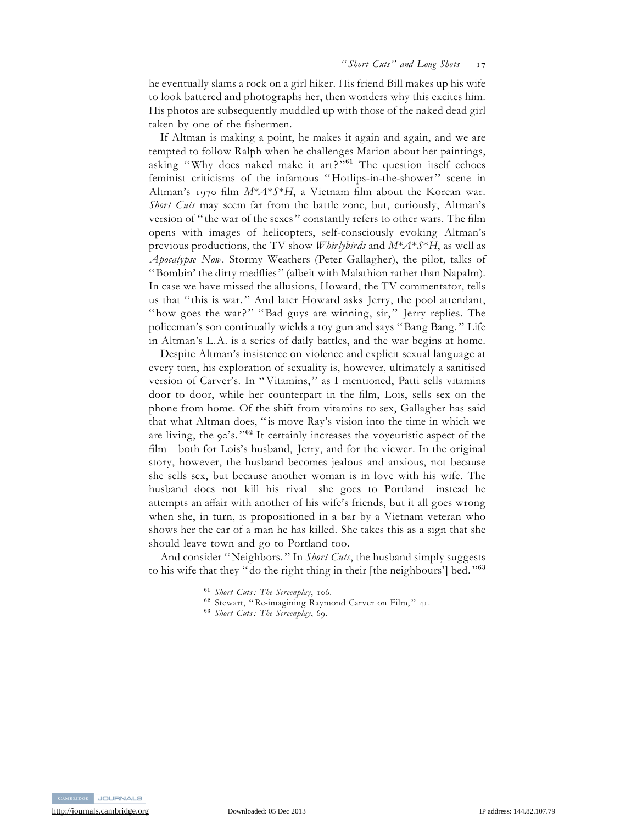he eventually slams a rock on a girl hiker. His friend Bill makes up his wife to look battered and photographs her, then wonders why this excites him. His photos are subsequently muddled up with those of the naked dead girl taken by one of the fishermen.

If Altman is making a point, he makes it again and again, and we are tempted to follow Ralph when he challenges Marion about her paintings, asking "Why does naked make it art?"<sup>61</sup> The question itself echoes feminist criticisms of the infamous ''Hotlips-in-the-shower'' scene in Altman's 1970 film *M*\**A*\**S*\**H*, a Vietnam film about the Korean war. *Short Cuts* may seem far from the battle zone, but, curiously, Altman's version of '' the war of the sexes'' constantly refers to other wars. The film opens with images of helicopters, self-consciously evoking Altman's previous productions, the TV show *Whirlybirds* and *M*\**A*\**S*\**H*, as well as *Apocalypse Now*. Stormy Weathers (Peter Gallagher), the pilot, talks of ''Bombin' the dirty medflies'' (albeit with Malathion rather than Napalm). In case we have missed the allusions, Howard, the TV commentator, tells us that '' this is war.'' And later Howard asks Jerry, the pool attendant, "how goes the war?" "Bad guys are winning, sir," Jerry replies. The policeman's son continually wields a toy gun and says ''Bang Bang.'' Life in Altman's L.A. is a series of daily battles, and the war begins at home.

Despite Altman's insistence on violence and explicit sexual language at every turn, his exploration of sexuality is, however, ultimately a sanitised version of Carver's. In ''Vitamins,'' as I mentioned, Patti sells vitamins door to door, while her counterpart in the film, Lois, sells sex on the phone from home. Of the shift from vitamins to sex, Gallagher has said that what Altman does, ''is move Ray's vision into the time in which we are living, the  $\varphi$ 's."<sup>62</sup> It certainly increases the voyeuristic aspect of the film – both for Lois's husband, Jerry, and for the viewer. In the original story, however, the husband becomes jealous and anxious, not because she sells sex, but because another woman is in love with his wife. The husband does not kill his rival – she goes to Portland – instead he attempts an affair with another of his wife's friends, but it all goes wrong when she, in turn, is propositioned in a bar by a Vietnam veteran who shows her the ear of a man he has killed. She takes this as a sign that she should leave town and go to Portland too.

And consider ''Neighbors.'' In *Short Cuts*, the husband simply suggests to his wife that they "do the right thing in their [the neighbours'] bed."63

<sup>62</sup> Stewart, "Re-imagining Raymond Carver on Film," 41.

<sup>63</sup> Short Cuts: The Screenplay, 69.



<sup>&</sup>lt;sup>61</sup> *Short Cuts*: The Screenplay, 106.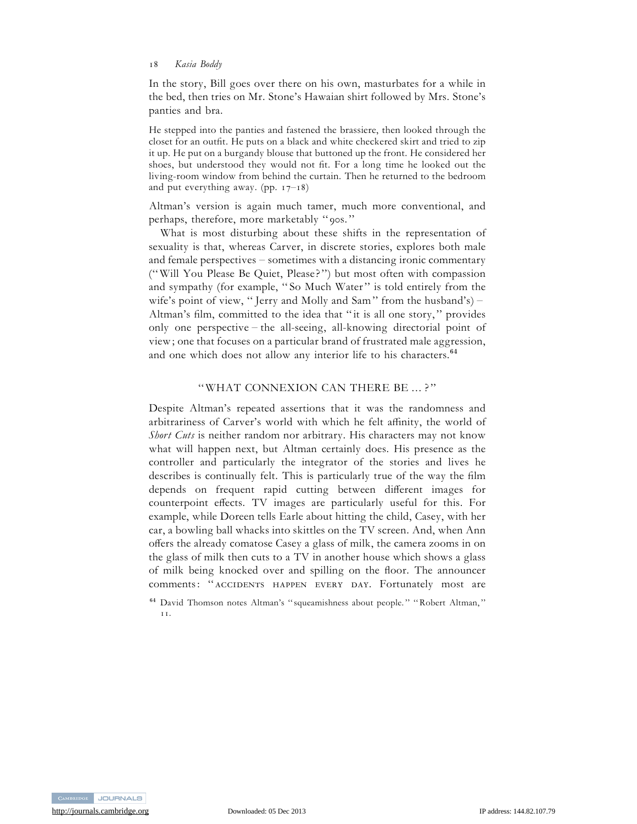In the story, Bill goes over there on his own, masturbates for a while in the bed, then tries on Mr. Stone's Hawaian shirt followed by Mrs. Stone's panties and bra.

He stepped into the panties and fastened the brassiere, then looked through the closet for an outfit. He puts on a black and white checkered skirt and tried to zip it up. He put on a burgandy blouse that buttoned up the front. He considered her shoes, but understood they would not fit. For a long time he looked out the living-room window from behind the curtain. Then he returned to the bedroom and put everything away. (pp.  $17-18$ )

Altman's version is again much tamer, much more conventional, and perhaps, therefore, more marketably "90s."

What is most disturbing about these shifts in the representation of sexuality is that, whereas Carver, in discrete stories, explores both male and female perspectives – sometimes with a distancing ironic commentary (''Will You Please Be Quiet, Please ?'') but most often with compassion and sympathy (for example, ''So Much Water'' is told entirely from the wife's point of view, "Jerry and Molly and Sam" from the husband's) -Altman's film, committed to the idea that ''it is all one story,'' provides only one perspective – the all-seeing, all-knowing directorial point of view; one that focuses on a particular brand of frustrated male aggression, and one which does not allow any interior life to his characters.<sup>64</sup>

#### ''WHAT CONNEXION CAN THERE BE … ?''

Despite Altman's repeated assertions that it was the randomness and arbitrariness of Carver's world with which he felt affinity, the world of *Short Cuts* is neither random nor arbitrary. His characters may not know what will happen next, but Altman certainly does. His presence as the controller and particularly the integrator of the stories and lives he describes is continually felt. This is particularly true of the way the film depends on frequent rapid cutting between different images for counterpoint effects. TV images are particularly useful for this. For example, while Doreen tells Earle about hitting the child, Casey, with her car, a bowling ball whacks into skittles on the TV screen. And, when Ann offers the already comatose Casey a glass of milk, the camera zooms in on the glass of milk then cuts to a TV in another house which shows a glass of milk being knocked over and spilling on the floor. The announcer comments: "ACCIDENTS HAPPEN EVERY DAY. Fortunately most are

es<br>Thomson notes Altman's "squeamishness about people." "Robert Altman," II.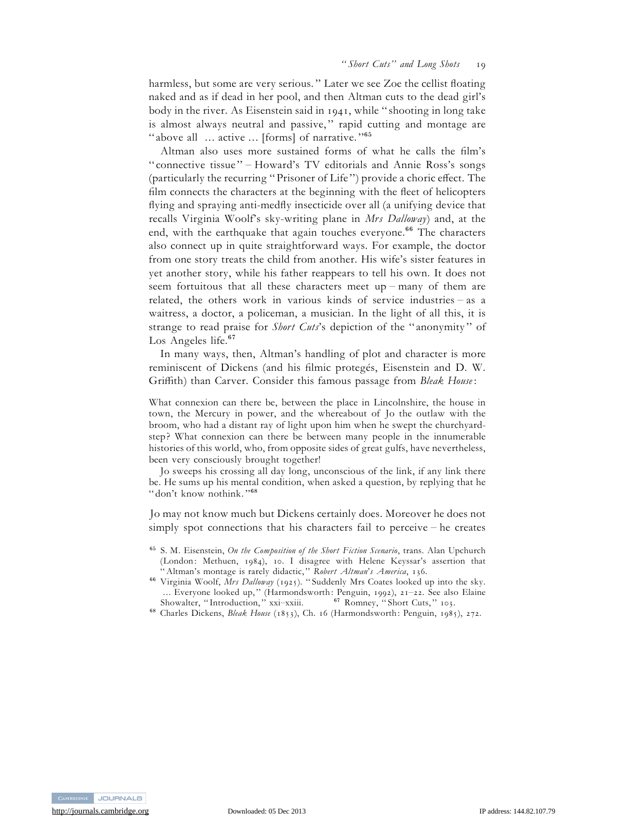harmless, but some are very serious.'' Later we see Zoe the cellist floating naked and as if dead in her pool, and then Altman cuts to the dead girl's body in the river. As Eisenstein said in  $1941$ , while "shooting in long take is almost always neutral and passive," rapid cutting and montage are "above all  $\ldots$  active  $\ldots$  [forms] of narrative."<sup>65</sup>

Altman also uses more sustained forms of what he calls the film's ''connective tissue'' – Howard's TV editorials and Annie Ross's songs (particularly the recurring ''Prisoner of Life'') provide a choric effect. The film connects the characters at the beginning with the fleet of helicopters flying and spraying anti-medfly insecticide over all (a unifying device that recalls Virginia Woolf's sky-writing plane in *Mrs Dalloway*) and, at the end, with the earthquake that again touches everyone.<sup>66</sup> The characters also connect up in quite straightforward ways. For example, the doctor from one story treats the child from another. His wife's sister features in yet another story, while his father reappears to tell his own. It does not seem fortuitous that all these characters meet up – many of them are related, the others work in various kinds of service industries – as a waitress, a doctor, a policeman, a musician. In the light of all this, it is strange to read praise for *Short Cuts*'s depiction of the ''anonymity'' of Los Angeles life. $67$ 

In many ways, then, Altman's handling of plot and character is more reminiscent of Dickens (and his filmic protegés, Eisenstein and D. W. Griffith) than Carver. Consider this famous passage from *Bleak House*:

What connexion can there be, between the place in Lincolnshire, the house in town, the Mercury in power, and the whereabout of Jo the outlaw with the broom, who had a distant ray of light upon him when he swept the churchyardstep? What connexion can there be between many people in the innumerable histories of this world, who, from opposite sides of great gulfs, have nevertheless, been very consciously brought together!

Jo sweeps his crossing all day long, unconscious of the link, if any link there be. He sums up his mental condition, when asked a question, by replying that he "don't know nothink."<sup>68</sup>

Jo may not know much but Dickens certainly does. Moreover he does not simply spot connections that his characters fail to perceive – he creates

- <sup>65</sup> S. M. Eisenstein, *On the Composition of the Short Fiction Scenario*, trans. Alan Upchurch (London: Methuen, 1984), 10. I disagree with Helene Keyssar's assertion that
- "Altman's montage is rarely didactic," *Robert Altman's America*, 136.<br><sup>66</sup> Virginia Woolf, *Mrs Dalloway* (1925). "Suddenly Mrs Coates looked up into the sky. ... Everyone looked up," (Harmondsworth: Penguin, 1992), 21–22. See also Elaine<br>Showalter, "Introduction," xxi–xxiii. '' Romney, "Short Cuts," 103.
- ') Charles Dickens, *Bleak House* (), Ch. (Harmondsworth: Penguin, ), .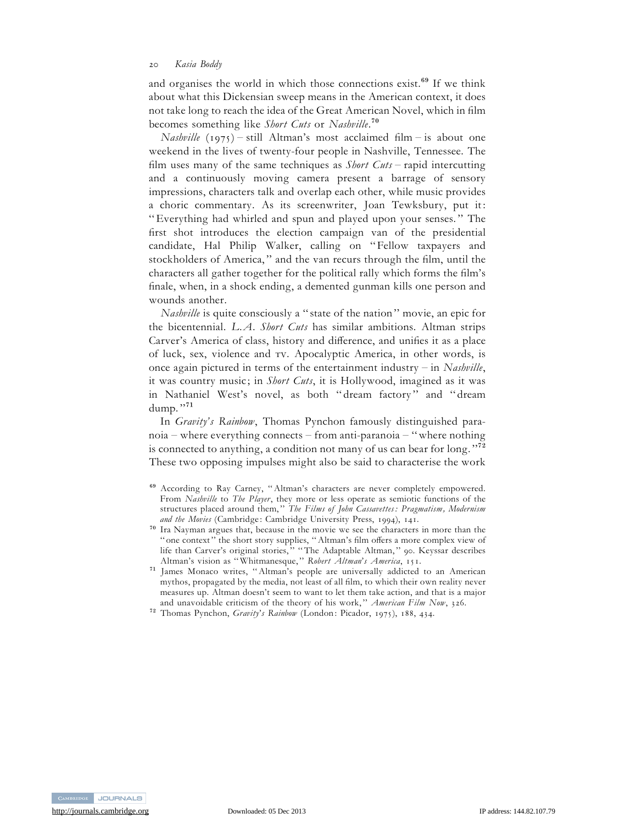and organises the world in which those connections exist.<sup>69</sup> If we think about what this Dickensian sweep means in the American context, it does not take long to reach the idea of the Great American Novel, which in film becomes something like *Short Cuts* or *Nashville*.<sup>70</sup>

*Nashville* (1975) – still Altman's most acclaimed film – is about one weekend in the lives of twenty-four people in Nashville, Tennessee. The film uses many of the same techniques as *Short Cuts* – rapid intercutting and a continuously moving camera present a barrage of sensory impressions, characters talk and overlap each other, while music provides a choric commentary. As its screenwriter, Joan Tewksbury, put it: ''Everything had whirled and spun and played upon your senses.'' The first shot introduces the election campaign van of the presidential candidate, Hal Philip Walker, calling on ''Fellow taxpayers and stockholders of America,'' and the van recurs through the film, until the characters all gather together for the political rally which forms the film's finale, when, in a shock ending, a demented gunman kills one person and wounds another.

*Nashville* is quite consciously a '' state of the nation'' movie, an epic for the bicentennial. *L*.*A*. *Short Cuts* has similar ambitions. Altman strips Carver's America of class, history and difference, and unifies it as a place of luck, sex, violence and  $\tau v$ . Apocalyptic America, in other words, is once again pictured in terms of the entertainment industry – in *Nashville*, it was country music; in *Short Cuts*, it is Hollywood, imagined as it was in Nathaniel West's novel, as both ''dream factory'' and ''dream dump. $"''^1$ 

In *Gravity's Rainbow*, Thomas Pynchon famously distinguished paranoia – where everything connects – from anti-paranoia – ''where nothing is connected to anything, a condition not many of us can bear for long. $17<sup>72</sup>$ These two opposing impulses might also be said to characterise the work

- <sup>69</sup> According to Ray Carney, "Altman's characters are never completely empowered. From *Nashville* to *The Player*, they more or less operate as semiotic functions of the structures placed around them,'' *The Films of John Cassavettes : Pragmatism, Modernism* and the Movies (Cambridge: Cambridge University Press, 1994), 141.
- and the Movies (Cambridge: Cambridge University Press, 1994), 141.<br><sup>70</sup> Ira Nayman argues that, because in the movie we see the characters in more than the " one context" the short story supplies, "Altman's film offers a more complex view of life than Carver's original stories," "The Adaptable Altman," 90. Keyssar describes Altman's vision as "Whitmanesque," Robert Altman's America, 151.
- Altman's vision as "Whitmanesque," Robert Altman's America, 151.<br><sup>71</sup> James Monaco writes, "Altman's people are universally addicted to an American mythos, propagated by the media, not least of all film, to which their own reality never measures up. Altman doesn't seem to want to let them take action, and that is a major and unavoidable criticism of the theory of his work," American Film Now, 326.
- and unavoidable criticism of the theory of his work," *American Fum* IN<br><sup>72</sup> Thomas Pynchon, *Gravity's Rainbow* (London: Picador, 1975), 188, 434.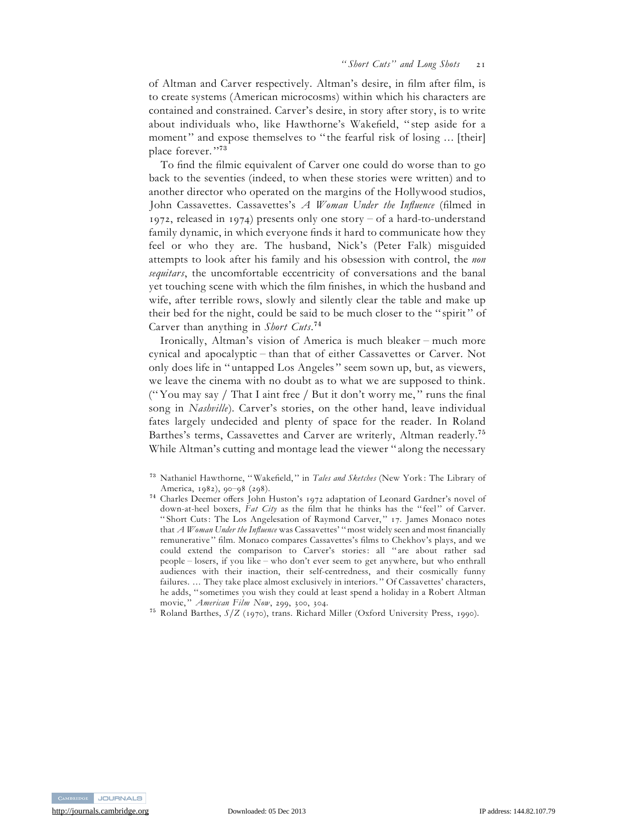of Altman and Carver respectively. Altman's desire, in film after film, is to create systems (American microcosms) within which his characters are contained and constrained. Carver's desire, in story after story, is to write about individuals who, like Hawthorne's Wakefield, '' step aside for a moment" and expose themselves to "the fearful risk of losing ... [their] place forever."73

To find the filmic equivalent of Carver one could do worse than to go back to the seventies (indeed, to when these stories were written) and to another director who operated on the margins of the Hollywood studios, John Cassavettes. Cassavettes's *A Woman Under the Influence* (filmed in 1972, released in 1974) presents only one story – of a hard-to-understand family dynamic, in which everyone finds it hard to communicate how they feel or who they are. The husband, Nick's (Peter Falk) misguided attempts to look after his family and his obsession with control, the *non sequitars*, the uncomfortable eccentricity of conversations and the banal yet touching scene with which the film finishes, in which the husband and wife, after terrible rows, slowly and silently clear the table and make up their bed for the night, could be said to be much closer to the '' spirit'' of Carver than anything in *Short Cuts*.<sup>74</sup>

Ironically, Altman's vision of America is much bleaker – much more cynical and apocalyptic – than that of either Cassavettes or Carver. Not only does life in ''untapped Los Angeles'' seem sown up, but, as viewers, we leave the cinema with no doubt as to what we are supposed to think. ("You may say / That I aint free / But it don't worry me," runs the final song in *Nashville*). Carver's stories, on the other hand, leave individual fates largely undecided and plenty of space for the reader. In Roland Barthes's terms, Cassavettes and Carver are writerly, Altman readerly.<sup>75</sup> While Altman's cutting and montage lead the viewer ''along the necessary

- <sup>73</sup> Nathaniel Hawthorne, "Wakefield," in *Tales and Sketches* (New York: The Library of America, 1982), 90-98 (298).
- America, 1982), 90–98 (298).<br><sup>74</sup> Charles Deemer offers John Huston's 1972 adaptation of Leonard Gardner's novel of down-at-heel boxers, *Fat City* as the film that he thinks has the '' feel'' of Carver. "Short Cuts: The Los Angelesation of Raymond Carver," 17. James Monaco notes that *A Woman Under the Influence* was Cassavettes' ''most widely seen and most financially remunerative'' film. Monaco compares Cassavettes's films to Chekhov's plays, and we could extend the comparison to Carver's stories: all '' are about rather sad people – losers, if you like – who don't ever seem to get anywhere, but who enthrall audiences with their inaction, their self-centredness, and their cosmically funny failures. ... They take place almost exclusively in interiors." Of Cassavettes' characters, he adds, '' sometimes you wish they could at least spend a holiday in a Robert Altman movie," American Film Now, 299, 300, 304.
- movie, *"American Fum I*Vow, 299, 300, 304.<br><sup>75</sup> Roland Barthes, *S*/*Z* (1970), trans. Richard Miller (Oxford University Press, 1990).